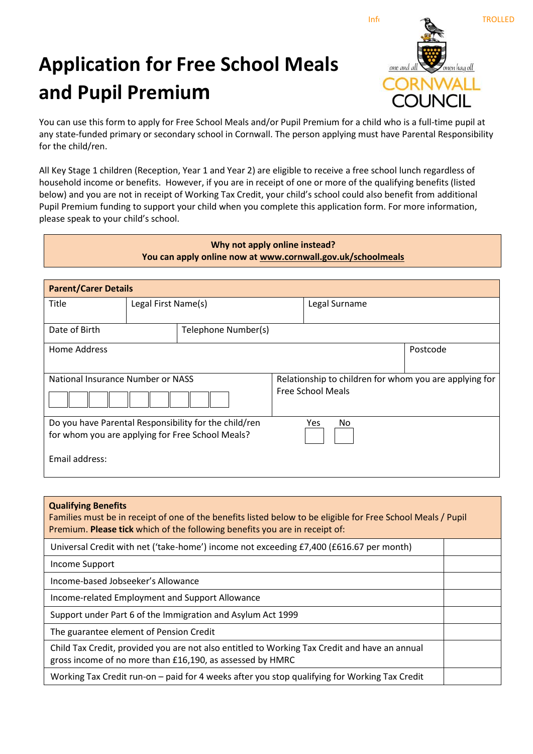## **Application for Free School Meals and Pupil Premium**



You can use this form to apply for Free School Meals and/or Pupil Premium for a child who is a full-time pupil at any state-funded primary or secondary school in Cornwall. The person applying must have Parental Responsibility for the child/ren.

All Key Stage 1 children (Reception, Year 1 and Year 2) are eligible to receive a free school lunch regardless of household income or benefits. However, if you are in receipt of one or more of the qualifying benefits (listed below) and you are not in receipt of Working Tax Credit, your child's school could also benefit from additional Pupil Premium funding to support your child when you complete this application form. For more information, please speak to your child's school.

| Why not apply online instead?<br>You can apply online now at www.cornwall.gov.uk/schoolmeals              |                     |                     |                                                                                    |               |          |  |
|-----------------------------------------------------------------------------------------------------------|---------------------|---------------------|------------------------------------------------------------------------------------|---------------|----------|--|
| <b>Parent/Carer Details</b>                                                                               |                     |                     |                                                                                    |               |          |  |
| Title                                                                                                     | Legal First Name(s) |                     |                                                                                    | Legal Surname |          |  |
| Date of Birth                                                                                             |                     | Telephone Number(s) |                                                                                    |               |          |  |
| Home Address                                                                                              |                     |                     |                                                                                    |               | Postcode |  |
| National Insurance Number or NASS                                                                         |                     |                     | Relationship to children for whom you are applying for<br><b>Free School Meals</b> |               |          |  |
| Do you have Parental Responsibility for the child/ren<br>for whom you are applying for Free School Meals? |                     |                     |                                                                                    | Yes<br>No     |          |  |
| Email address:                                                                                            |                     |                     |                                                                                    |               |          |  |

| <b>Qualifying Benefits</b><br>Families must be in receipt of one of the benefits listed below to be eligible for Free School Meals / Pupil<br>Premium. Please tick which of the following benefits you are in receipt of: |  |  |
|---------------------------------------------------------------------------------------------------------------------------------------------------------------------------------------------------------------------------|--|--|
| Universal Credit with net ('take-home') income not exceeding £7,400 (£616.67 per month)                                                                                                                                   |  |  |
| Income Support                                                                                                                                                                                                            |  |  |
| Income-based Jobseeker's Allowance                                                                                                                                                                                        |  |  |
| Income-related Employment and Support Allowance                                                                                                                                                                           |  |  |
| Support under Part 6 of the Immigration and Asylum Act 1999                                                                                                                                                               |  |  |
| The guarantee element of Pension Credit                                                                                                                                                                                   |  |  |
| Child Tax Credit, provided you are not also entitled to Working Tax Credit and have an annual<br>gross income of no more than £16,190, as assessed by HMRC                                                                |  |  |
| Working Tax Credit run-on - paid for 4 weeks after you stop qualifying for Working Tax Credit                                                                                                                             |  |  |